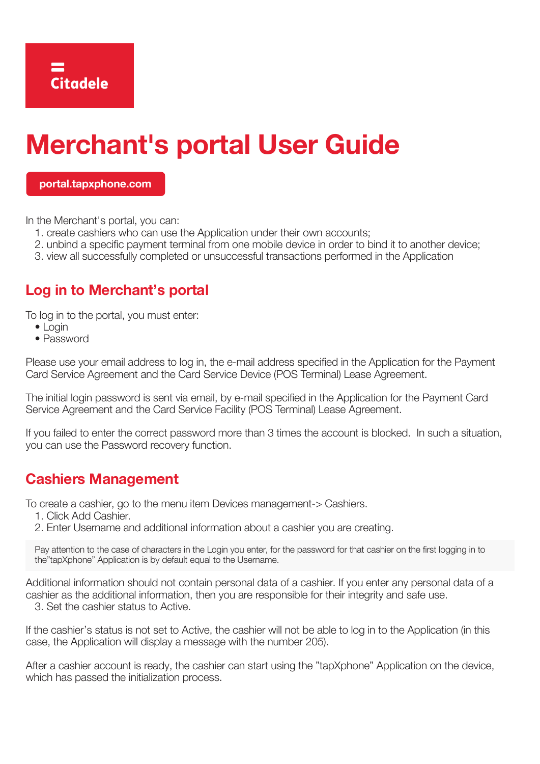# **Merchant's portal User Guide**

**[portal.tapxphone.com](https://portal.tapxphone.com)** 

In the Merchant's portal, you can:

- 1. create cashiers who can use the Application under their own accounts;
- 2. unbind a specific payment terminal from one mobile device in order to bind it to another device;
- 3. view all successfully completed or unsuccessful transactions performed in the Application

## **Log in to Merchant's portal**

To log in to the portal, you must enter:

- Login
- Password

Please use your email address to log in, the e-mail address specified in the Application for the Payment Card Service Agreement and the Card Service Device (POS Terminal) Lease Agreement.

The initial login password is sent via email, by e-mail specified in the Application for the Payment Card Service Agreement and the Card Service Facility (POS Terminal) Lease Agreement.

If you failed to enter the correct password more than 3 times the account is blocked. In such a situation, you can use the Password recovery function.

#### **Cashiers Management**

To create a cashier, go to the menu item Devices management-> Cashiers.

- 1. Click Add Cashier.
- 2. Enter Username and additional information about a cashier you are creating.

Pay attention to the case of characters in the Login you enter, for the password for that cashier on the first logging in to the"tapXphone" Application is by default equal to the Username.

Additional information should not contain personal data of a cashier. If you enter any personal data of a cashier as the additional information, then you are responsible for their integrity and safe use.

3. Set the cashier status to Active.

If the cashier's status is not set to Active, the cashier will not be able to log in to the Application (in this case, the Application will display a message with the number 205).

After a cashier account is ready, the cashier can start using the "tapXphone" Application on the device, which has passed the initialization process.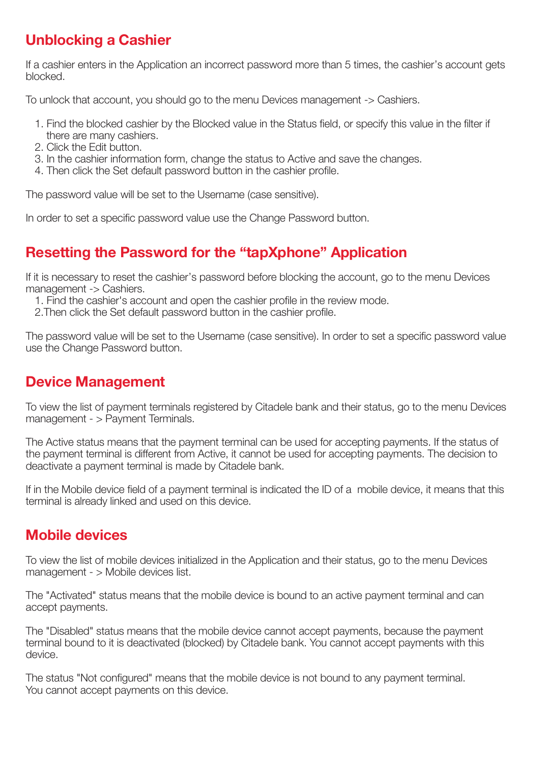# **Unblocking a Cashier**

If a cashier enters in the Application an incorrect password more than 5 times, the cashier's account gets blocked.

To unlock that account, you should go to the menu Devices management -> Cashiers.

- 1. Find the blocked cashier by the Blocked value in the Status field, or specify this value in the filter if there are many cashiers.
- 2. Click the Edit button.
- 3. In the cashier information form, change the status to Active and save the changes.
- 4. Then click the Set default password button in the cashier profile.

The password value will be set to the Username (case sensitive).

In order to set a specific password value use the Change Password button.

#### **Resetting the Password for the "tapXphone" Application**

If it is necessary to reset the cashier's password before blocking the account, go to the menu Devices management -> Cashiers.

1. Find the cashier's account and open the cashier profile in the review mode.

2.Then click the Set default password button in the cashier profile.

The password value will be set to the Username (case sensitive). In order to set a specific password value use the Change Password button.

#### **Device Management**

To view the list of payment terminals registered by Citadele bank and their status, go to the menu Devices management - > Payment Terminals.

The Active status means that the payment terminal can be used for accepting payments. If the status of the payment terminal is different from Active, it cannot be used for accepting payments. The decision to deactivate a payment terminal is made by Citadele bank.

If in the Mobile device field of a payment terminal is indicated the ID of a mobile device, it means that this terminal is already linked and used on this device.

#### **Mobile devices**

To view the list of mobile devices initialized in the Application and their status, go to the menu Devices management - > Mobile devices list.

The "Activated" status means that the mobile device is bound to an active payment terminal and can accept payments.

The "Disabled" status means that the mobile device cannot accept payments, because the payment terminal bound to it is deactivated (blocked) by Citadele bank. You cannot accept payments with this device.

The status "Not configured" means that the mobile device is not bound to any payment terminal. You cannot accept payments on this device.